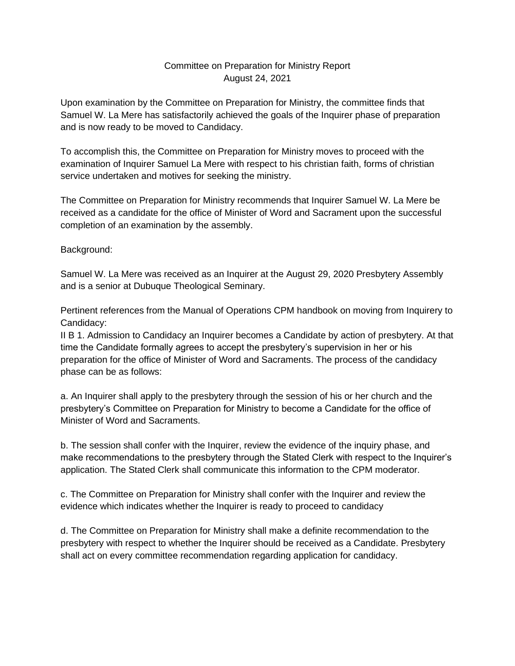## Committee on Preparation for Ministry Report August 24, 2021

Upon examination by the Committee on Preparation for Ministry, the committee finds that Samuel W. La Mere has satisfactorily achieved the goals of the Inquirer phase of preparation and is now ready to be moved to Candidacy.

To accomplish this, the Committee on Preparation for Ministry moves to proceed with the examination of Inquirer Samuel La Mere with respect to his christian faith, forms of christian service undertaken and motives for seeking the ministry.

The Committee on Preparation for Ministry recommends that Inquirer Samuel W. La Mere be received as a candidate for the office of Minister of Word and Sacrament upon the successful completion of an examination by the assembly.

Background:

Samuel W. La Mere was received as an Inquirer at the August 29, 2020 Presbytery Assembly and is a senior at Dubuque Theological Seminary.

Pertinent references from the Manual of Operations CPM handbook on moving from Inquirery to Candidacy:

II B 1. Admission to Candidacy an Inquirer becomes a Candidate by action of presbytery. At that time the Candidate formally agrees to accept the presbytery's supervision in her or his preparation for the office of Minister of Word and Sacraments. The process of the candidacy phase can be as follows:

a. An Inquirer shall apply to the presbytery through the session of his or her church and the presbytery's Committee on Preparation for Ministry to become a Candidate for the office of Minister of Word and Sacraments.

b. The session shall confer with the Inquirer, review the evidence of the inquiry phase, and make recommendations to the presbytery through the Stated Clerk with respect to the Inquirer's application. The Stated Clerk shall communicate this information to the CPM moderator.

c. The Committee on Preparation for Ministry shall confer with the Inquirer and review the evidence which indicates whether the Inquirer is ready to proceed to candidacy

d. The Committee on Preparation for Ministry shall make a definite recommendation to the presbytery with respect to whether the Inquirer should be received as a Candidate. Presbytery shall act on every committee recommendation regarding application for candidacy.